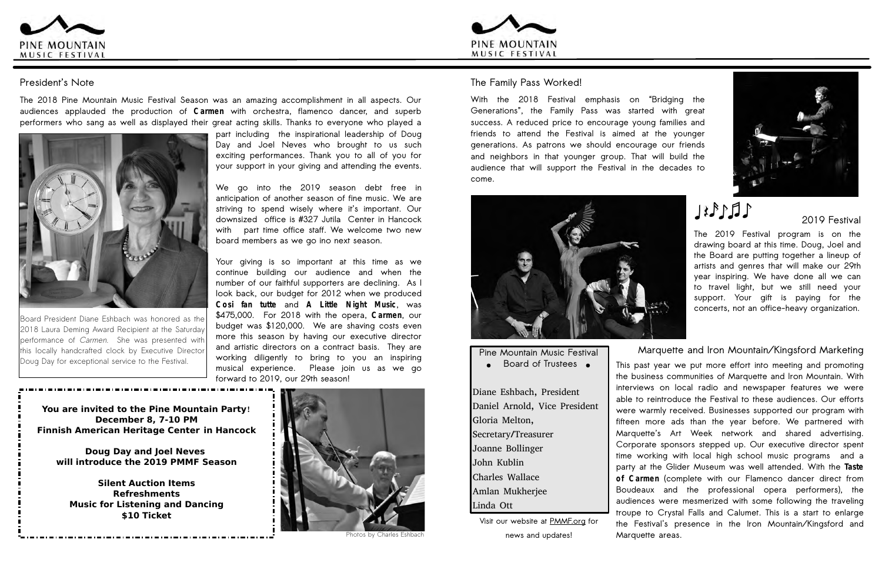**part including the inspirational leadership of Doug Day and Joel Neves who brought to us such exciting performances. Thank you to all of you for your support in your giving and attending the events.**

**We go into the 2019 season debt free in anticipation of another season of fine music. We are striving to spend wisely where it's important. Our downsized office is #327 Jutila Center in Hancock with part time office staff. We welcome two new board members as we go ino next season.**

**Your giving is so important at this time as we continue building our audience and when the number of our faithful supporters are declining. As I look back, our budget for 2012 when we produced Cosi fan tutte and A Little Night Music, was \$475,000. For 2018 with the opera, Carmen, our budget was \$120,000. We are shaving costs even more this season by having our executive director and artistic directors on a contract basis. They are working diligently to bring to you an inspiring musical experience. Please join us as we go forward to 2019, our 29th season!**

Board President Diane Eshbach was honored as the 2018 Laura Deming Award Recipient at the Saturday performance of Carmen. She was presented with this locally handcrafted clock by Executive Director Doug Day for exceptional service to the Festival.





## **President's Note**

**The 2018 Pine Mountain Music Festival Season was an amazing accomplishment in all aspects. Our audiences applauded the production of Carmen with orchestra, flamenco dancer, and superb performers who sang as well as displayed their great acting skills. Thanks to everyone who played a**



## **The Family Pass Worked!**

**With the 2018 Festival emphasis on "Bridging the Generations", the Family Pass was started with great success. A reduced price to encourage young families and friends to attend the Festival is aimed at the younger generations. As patrons we should encourage our friends and neighbors in that younger group. That will build the audience that will support the Festival in the decades to come.**



## **Marquette and Iron Mountain/Kingsford Marketing**

**This past year we put more effort into meeting and promoting the business communities of Marquette and Iron Mountain. With interviews on local radio and newspaper features we were able to reintroduce the Festival to these audiences. Our efforts were warmly received. Businesses supported our program with fifteen more ads than the year before. We partnered with Marquette's Art Week network and shared advertising. Corporate sponsors stepped up. Our executive director spent time working with local high school music programs and a party at the Glider Museum was well attended. With the Taste of Carmen (complete with our Flamenco dancer direct from Boudeaux and the professional opera performers), the audiences were mesmerized with some following the traveling troupe to Crystal Falls and Calumet. This is a start to enlarge the Festival's presence in the Iron Mountain/Kingsford and Marquette areas.**

**2019 Festival**

**The 2019 Festival program is on the drawing board at this time. Doug, Joel and the Board are putting together a lineup of artists and genres that will make our 29th year inspiring. We have done all we can to travel light, but we still need your support. Your gift is paying for the concerts, not an office-heavy organization.**

**Pine Mountain Music Festival**

**Board of Trustees e** 

Diane Eshbach, President Daniel Arnold, Vice President Gloria Melton, Secretary/Treasurer Joanne Bollinger John Kublin Charles Wallace Amlan Mukherjee Linda Ott

**Visit our website at PMMF.org for news and updates!**



# $LECEL$

**You are invited to the Pine Mountain Party**! **December 8, 7-10 PM Finnish American Heritage Center in Hancock**

**Doug Day and Joel Neves will introduce the 2019 PMMF Season**

**Silent Auction Items Refreshments Music for Listening and Dancing \$10 Ticket**



Photos by Charles Eshbach